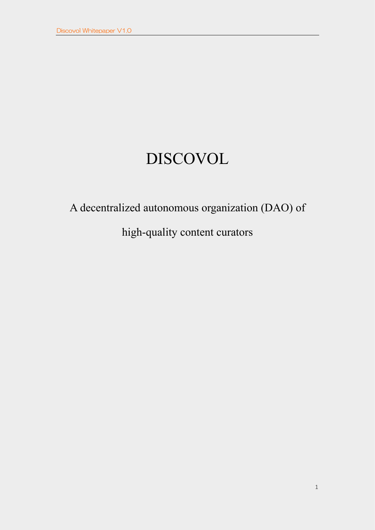# DISCOVOL

# A decentralized autonomous organization (DAO) of

# high-quality content curators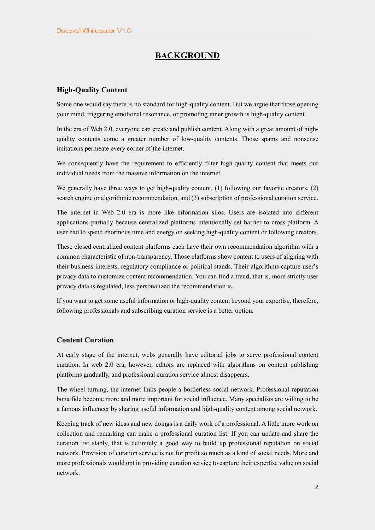## **BACKGROUND**

#### **High-Quality Content**

Some one would say there is no standard for high-quality content. But we argue that those opening your mind, triggering emotional resonance, or promoting inner growth is high-quality content.

In the era of Web 2.0, everyone can create and publish content. Along with a great amount of highquality contents come a greater number of low-quality contents. Those spams and nonsense imitations permeate every corner of the internet.

We consequently have the requirement to efficiently filter high-quality content that meets our individual needs from the massive information on the internet.

We generally have three ways to get high-quality content, (1) following our favorite creators, (2) search engine or algorithmic recommendation, and (3) subscription of professional curation service.

The internet in Web 2.0 era is more like information silos. Users are isolated into different applications partially because centralized platforms intentionally set barrier to cross-platform. A user had to spend enormous time and energy on seeking high-quality content or following creators.

These closed centralized content platforms each have their own recommendation algorithm with a common characteristic of non-transparency. Those platforms show content to users of aligning with their business interests, regulatory compliance or political stands. Their algorithms capture user's privacy data to customize content recommendation. You can find a trend, that is, more strictly user privacy data is regulated, less personalized the recommendation is.

If you want to get some useful information or high-quality content beyond your expertise, therefore, following professionals and subscribing curation service is a better option.

#### **Content Curation**

At early stage of the internet, webs generally have editorial jobs to serve professional content curation. In web 2.0 era, however, editors are replaced with algorithms on content publishing platforms gradually, and professional curation service almost disappears.

The wheel turning, the internet links people a borderless social network. Professional reputation bona fide become more and more important for social influence. Many specialists are willing to be a famous influencer by sharing useful information and high-quality content among social network.

Keeping track of new ideas and new doings is a daily work of a professional. A little more work on collection and remarking can make a professional curation list. If you can update and share the curation list stably, that is definitely a good way to build up professional reputation on social network. Provision of curation service is not for profit so much as a kind of social needs. More and more professionals would opt in providing curation service to capture their expertise value on social network.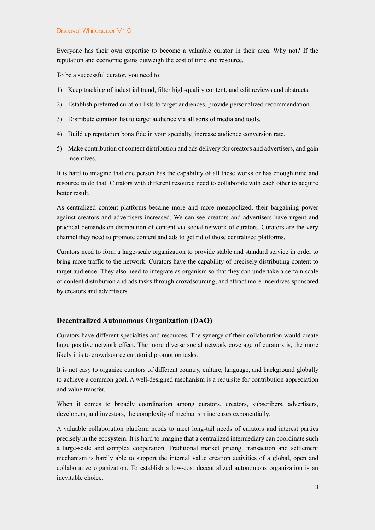Everyone has their own expertise to become a valuable curator in their area. Why not? If the reputation and economic gains outweigh the cost of time and resource.

To be a successful curator, you need to:

- 1) Keep tracking of industrial trend, filter high-quality content, and edit reviews and abstracts.
- 2) Establish preferred curation lists to target audiences, provide personalized recommendation.
- 3) Distribute curation list to target audience via all sorts of media and tools.
- 4) Build up reputation bona fide in your specialty, increase audience conversion rate.
- 5) Make contribution of content distribution and ads delivery for creators and advertisers, and gain incentives.

It is hard to imagine that one person has the capability of all these works or has enough time and resource to do that. Curators with different resource need to collaborate with each other to acquire better result.

As centralized content platforms became more and more monopolized, their bargaining power against creators and advertisers increased. We can see creators and advertisers have urgent and practical demands on distribution of content via social network of curators. Curators are the very channel they need to promote content and ads to get rid of those centralized platforms.

Curators need to form a large-scale organization to provide stable and standard service in order to bring more traffic to the network. Curators have the capability of precisely distributing content to target audience. They also need to integrate as organism so that they can undertake a certain scale of content distribution and ads tasks through crowdsourcing, and attract more incentives sponsored by creators and advertisers.

#### **Decentralized Autonomous Organization (DAO)**

Curators have different specialties and resources. The synergy of their collaboration would create huge positive network effect. The more diverse social network coverage of curators is, the more likely it is to crowdsource curatorial promotion tasks.

It is not easy to organize curators of different country, culture, language, and background globally to achieve a common goal. A well-designed mechanism is a requisite for contribution appreciation and value transfer.

When it comes to broadly coordination among curators, creators, subscribers, advertisers, developers, and investors, the complexity of mechanism increases exponentially.

A valuable collaboration platform needs to meet long-tail needs of curators and interest parties precisely in the ecosystem. It is hard to imagine that a centralized intermediary can coordinate such a large-scale and complex cooperation. Traditional market pricing, transaction and settlement mechanism is hardly able to support the internal value creation activities of a global, open and collaborative organization. To establish a low-cost decentralized autonomous organization is an inevitable choice.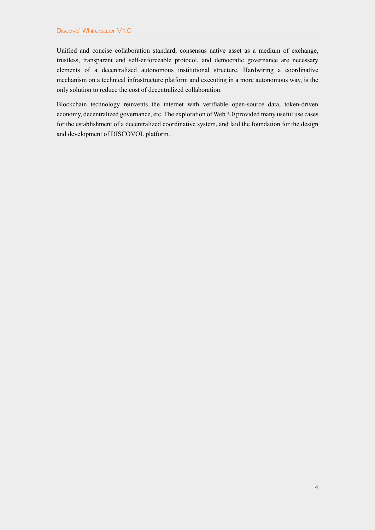Unified and concise collaboration standard, consensus native asset as a medium of exchange, trustless, transparent and self-enforceable protocol, and democratic governance are necessary elements of a decentralized autonomous institutional structure. Hardwiring a coordinative mechanism on a technical infrastructure platform and executing in a more autonomous way, is the only solution to reduce the cost of decentralized collaboration.

Blockchain technology reinvents the internet with verifiable open-source data, token-driven economy, decentralized governance, etc. The exploration of Web 3.0 provided many useful use cases for the establishment of a decentralized coordinative system, and laid the foundation for the design and development of DISCOVOL platform.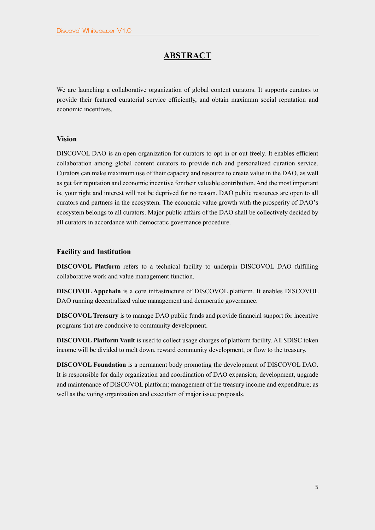## **ABSTRACT**

We are launching a collaborative organization of global content curators. It supports curators to provide their featured curatorial service efficiently, and obtain maximum social reputation and economic incentives.

#### **Vision**

DISCOVOL DAO is an open organization for curators to opt in or out freely. It enables efficient collaboration among global content curators to provide rich and personalized curation service. Curators can make maximum use of their capacity and resource to create value in the DAO, as well as get fair reputation and economic incentive for their valuable contribution. And the most important is, your right and interest will not be deprived for no reason. DAO public resources are open to all curators and partners in the ecosystem. The economic value growth with the prosperity of DAO's ecosystem belongs to all curators. Major public affairs of the DAO shall be collectively decided by all curators in accordance with democratic governance procedure.

#### **Facility and Institution**

**DISCOVOL Platform** refers to a technical facility to underpin DISCOVOL DAO fulfilling collaborative work and value management function.

**DISCOVOL Appchain** is a core infrastructure of DISCOVOL platform. It enables DISCOVOL DAO running decentralized value management and democratic governance.

**DISCOVOL Treasury** is to manage DAO public funds and provide financial support for incentive programs that are conducive to community development.

**DISCOVOL Platform Vault** is used to collect usage charges of platform facility. All \$DISC token income will be divided to melt down, reward community development, or flow to the treasury.

**DISCOVOL Foundation** is a permanent body promoting the development of DISCOVOL DAO. It is responsible for daily organization and coordination of DAO expansion; development, upgrade and maintenance of DISCOVOL platform; management of the treasury income and expenditure; as well as the voting organization and execution of major issue proposals.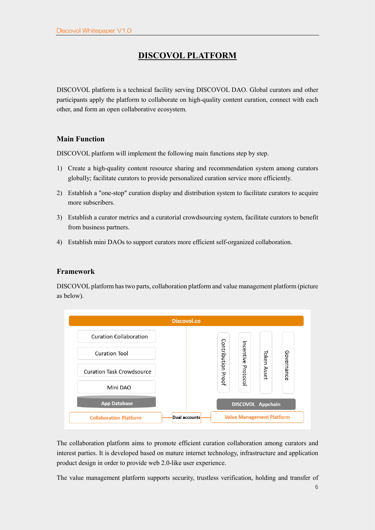# **DISCOVOL PLATFORM**

DISCOVOL platform is a technical facility serving DISCOVOL DAO. Global curators and other participants apply the platform to collaborate on high-quality content curation, connect with each other, and form an open collaborative ecosystem.

## **Main Function**

DISCOVOL platform will implement the following main functions step by step.

- 1) Create a high-quality content resource sharing and recommendation system among curators globally; facilitate curators to provide personalized curation service more efficiently.
- 2) Establish a "one-stop" curation display and distribution system to facilitate curators to acquire more subscribers.
- 3) Establish a curator metrics and a curatorial crowdsourcing system, facilitate curators to benefit from business partners.
- 4) Establish mini DAOs to support curators more efficient self-organized collaboration.

## **Framework**

DISCOVOL platform has two parts, collaboration platform and value management platform (picture as below).



The collaboration platform aims to promote efficient curation collaboration among curators and interest parties. It is developed based on mature internet technology, infrastructure and application product design in order to provide web 2.0-like user experience.

The value management platform supports security, trustless verification, holding and transfer of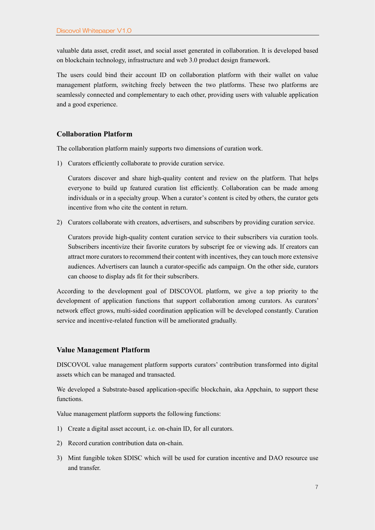valuable data asset, credit asset, and social asset generated in collaboration. It is developed based on blockchain technology, infrastructure and web 3.0 product design framework.

The users could bind their account ID on collaboration platform with their wallet on value management platform, switching freely between the two platforms. These two platforms are seamlessly connected and complementary to each other, providing users with valuable application and a good experience.

#### **Collaboration Platform**

The collaboration platform mainly supports two dimensions of curation work.

1) Curators efficiently collaborate to provide curation service.

Curators discover and share high-quality content and review on the platform. That helps everyone to build up featured curation list efficiently. Collaboration can be made among individuals or in a specialty group. When a curator's content is cited by others, the curator gets incentive from who cite the content in return.

2) Curators collaborate with creators, advertisers, and subscribers by providing curation service.

Curators provide high-quality content curation service to their subscribers via curation tools. Subscribers incentivize their favorite curators by subscript fee or viewing ads. If creators can attract more curators to recommend their content with incentives, they can touch more extensive audiences. Advertisers can launch a curator-specific ads campaign. On the other side, curators can choose to display ads fit for their subscribers.

According to the development goal of DISCOVOL platform, we give a top priority to the development of application functions that support collaboration among curators. As curators' network effect grows, multi-sided coordination application will be developed constantly. Curation service and incentive-related function will be ameliorated gradually.

#### **Value Management Platform**

DISCOVOL value management platform supports curators' contribution transformed into digital assets which can be managed and transacted.

We developed a Substrate-based application-specific blockchain, aka Appchain, to support these functions.

Value management platform supports the following functions:

- 1) Create a digital asset account, i.e. on-chain ID, for all curators.
- 2) Record curation contribution data on-chain.
- 3) Mint fungible token \$DISC which will be used for curation incentive and DAO resource use and transfer.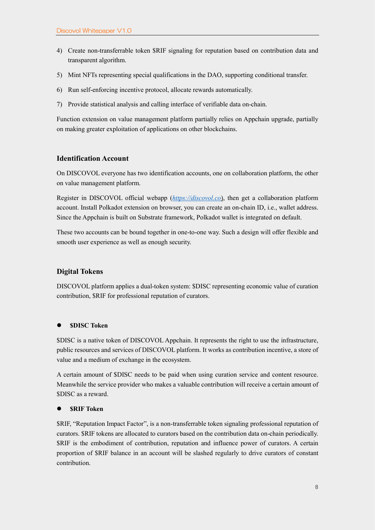- 4) Create non-transferrable token \$RIF signaling for reputation based on contribution data and transparent algorithm.
- 5) Mint NFTs representing special qualifications in the DAO, supporting conditional transfer.
- 6) Run self-enforcing incentive protocol, allocate rewards automatically.
- 7) Provide statistical analysis and calling interface of verifiable data on-chain.

Function extension on value management platform partially relies on Appchain upgrade, partially on making greater exploitation of applications on other blockchains.

#### **Identification Account**

On DISCOVOL everyone has two identification accounts, one on collaboration platform, the other on value management platform.

Register in DISCOVOL official webapp (*[https://discovol.co](https://discovol.co/)*), then get a collaboration platform account. Install Polkadot extension on browser, you can create an on-chain ID, i.e., wallet address. Since the Appchain is built on Substrate framework, Polkadot wallet is integrated on default.

These two accounts can be bound together in one-to-one way. Such a design will offer flexible and smooth user experience as well as enough security.

## **Digital Tokens**

DISCOVOL platform applies a dual-token system: \$DISC representing economic value of curation contribution, \$RIF for professional reputation of curators.

#### ⚫ **\$DISC Token**

\$DISC is a native token of DISCOVOL Appchain. It represents the right to use the infrastructure, public resources and services of DISCOVOL platform. It works as contribution incentive, a store of value and a medium of exchange in the ecosystem.

A certain amount of \$DISC needs to be paid when using curation service and content resource. Meanwhile the service provider who makes a valuable contribution will receive a certain amount of \$DISC as a reward.

#### ⚫ **\$RIF Token**

\$RIF, "Reputation Impact Factor", is a non-transferrable token signaling professional reputation of curators. \$RIF tokens are allocated to curators based on the contribution data on-chain periodically. \$RIF is the embodiment of contribution, reputation and influence power of curators. A certain proportion of \$RIF balance in an account will be slashed regularly to drive curators of constant contribution.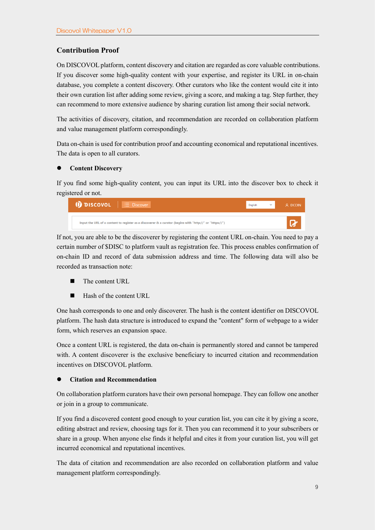## **Contribution Proof**

On DISCOVOL platform, content discovery and citation are regarded as core valuable contributions. If you discover some high-quality content with your expertise, and register its URL in on-chain database, you complete a content discovery. Other curators who like the content would cite it into their own curation list after adding some review, giving a score, and making a tag. Step further, they can recommend to more extensive audience by sharing curation list among their social network.

The activities of discovery, citation, and recommendation are recorded on collaboration platform and value management platform correspondingly.

Data on-chain is used for contribution proof and accounting economical and reputational incentives. The data is open to all curators.

#### ⚫ **Content Discovery**

If you find some high-quality content, you can input its URL into the discover box to check it registered or not.

| $\bigcirc$ DISCOVOL $\bigcup$ $\equiv$ Discover                                                          | Enalish | $\overline{\mathbb{V}}$ | A DCOIN |
|----------------------------------------------------------------------------------------------------------|---------|-------------------------|---------|
| Input the URL of a content to register as a discoverer & a curator (begins with "http://" or "https://") |         |                         | u.      |

If not, you are able to be the discoverer by registering the content URL on-chain. You need to pay a certain number of \$DISC to platform vault as registration fee. This process enables confirmation of on-chain ID and record of data submission address and time. The following data will also be recorded as transaction note:

- The content URL
- Hash of the content URL

One hash corresponds to one and only discoverer. The hash is the content identifier on DISCOVOL platform. The hash data structure is introduced to expand the "content" form of webpage to a wider form, which reserves an expansion space.

Once a content URL is registered, the data on-chain is permanently stored and cannot be tampered with. A content discoverer is the exclusive beneficiary to incurred citation and recommendation incentives on DISCOVOL platform.

#### ⚫ **Citation and Recommendation**

On collaboration platform curators have their own personal homepage. They can follow one another or join in a group to communicate.

If you find a discovered content good enough to your curation list, you can cite it by giving a score, editing abstract and review, choosing tags for it. Then you can recommend it to your subscribers or share in a group. When anyone else finds it helpful and cites it from your curation list, you will get incurred economical and reputational incentives.

The data of citation and recommendation are also recorded on collaboration platform and value management platform correspondingly.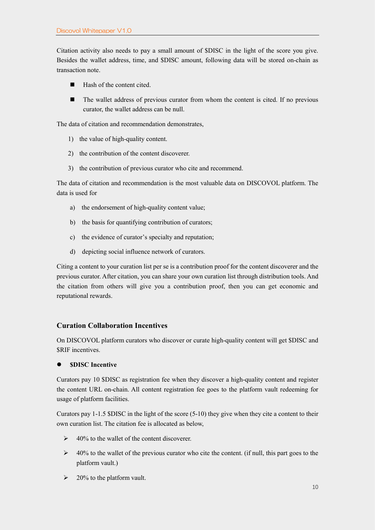Citation activity also needs to pay a small amount of \$DISC in the light of the score you give. Besides the wallet address, time, and \$DISC amount, following data will be stored on-chain as transaction note.

- Hash of the content cited.
- The wallet address of previous curator from whom the content is cited. If no previous curator, the wallet address can be null.

The data of citation and recommendation demonstrates,

- 1) the value of high-quality content.
- 2) the contribution of the content discoverer.
- 3) the contribution of previous curator who cite and recommend.

The data of citation and recommendation is the most valuable data on DISCOVOL platform. The data is used for

- a) the endorsement of high-quality content value;
- b) the basis for quantifying contribution of curators;
- c) the evidence of curator's specialty and reputation;
- d) depicting social influence network of curators.

Citing a content to your curation list per se is a contribution proof for the content discoverer and the previous curator. After citation, you can share your own curation list through distribution tools. And the citation from others will give you a contribution proof, then you can get economic and reputational rewards.

#### **Curation Collaboration Incentives**

On DISCOVOL platform curators who discover or curate high-quality content will get \$DISC and \$RIF incentives.

#### ⚫ **\$DISC Incentive**

Curators pay 10 \$DISC as registration fee when they discover a high-quality content and register the content URL on-chain. All content registration fee goes to the platform vault redeeming for usage of platform facilities.

Curators pay 1-1.5 \$DISC in the light of the score (5-10) they give when they cite a content to their own curation list. The citation fee is allocated as below,

- $\geq 40\%$  to the wallet of the content discoverer.
- $\geq 40\%$  to the wallet of the previous curator who cite the content. (if null, this part goes to the platform vault.)
- $\geq 20\%$  to the platform vault.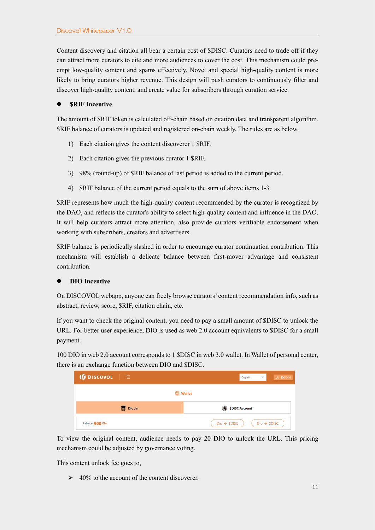Content discovery and citation all bear a certain cost of \$DISC. Curators need to trade off if they can attract more curators to cite and more audiences to cover the cost. This mechanism could preempt low-quality content and spams effectively. Novel and special high-quality content is more likely to bring curators higher revenue. This design will push curators to continuously filter and discover high-quality content, and create value for subscribers through curation service.

#### **\$RIF Incentive**

The amount of \$RIF token is calculated off-chain based on citation data and transparent algorithm. \$RIF balance of curators is updated and registered on-chain weekly. The rules are as below.

- 1) Each citation gives the content discoverer 1 \$RIF.
- 2) Each citation gives the previous curator 1 \$RIF.
- 3) 98% (round-up) of \$RIF balance of last period is added to the current period.
- 4) \$RIF balance of the current period equals to the sum of above items 1-3.

\$RIF represents how much the high-quality content recommended by the curator is recognized by the DAO, and reflects the curator's ability to select high-quality content and influence in the DAO. It will help curators attract more attention, also provide curators verifiable endorsement when working with subscribers, creators and advertisers.

\$RIF balance is periodically slashed in order to encourage curator continuation contribution. This mechanism will establish a delicate balance between first-mover advantage and consistent contribution.

#### ⚫ **DIO Incentive**

On DISCOVOL webapp, anyone can freely browse curators' content recommendation info, such as abstract, review, score, \$RIF, citation chain, etc.

If you want to check the original content, you need to pay a small amount of \$DISC to unlock the URL. For better user experience, DIO is used as web 2.0 account equivalents to \$DISC for a small payment.

100 DIO in web 2.0 account corresponds to 1 \$DISC in web 3.0 wallet. In Wallet of personal center, there is an exchange function between DIO and \$DISC.

| D DISCOVOL<br>注                                    | A DCOIN<br>English<br>$\overline{\mathbf{v}}$    |  |  |  |  |
|----------------------------------------------------|--------------------------------------------------|--|--|--|--|
| <b>Wallet</b>                                      |                                                  |  |  |  |  |
| $^{\circledR}$<br>Dio Jar<br><b>\$DISC Account</b> |                                                  |  |  |  |  |
| Balance: 900 Dio                                   | $Do \rightarrow $DISC$<br>$Do \leftarrow$ \$DISC |  |  |  |  |

To view the original content, audience needs to pay 20 DIO to unlock the URL. This pricing mechanism could be adjusted by governance voting.

This content unlock fee goes to,

 $\geq 40\%$  to the account of the content discoverer.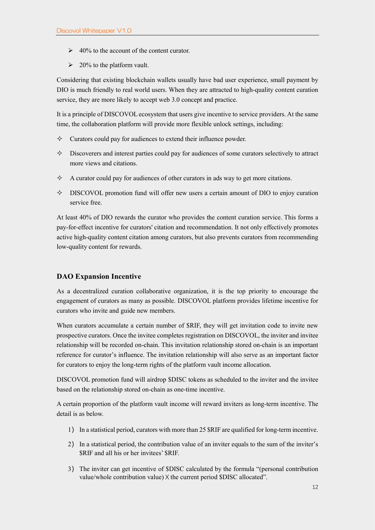- $\geq 40\%$  to the account of the content curator.
- $\geq 20\%$  to the platform vault.

Considering that existing blockchain wallets usually have bad user experience, small payment by DIO is much friendly to real world users. When they are attracted to high-quality content curation service, they are more likely to accept web 3.0 concept and practice.

It is a principle of DISCOVOL ecosystem that users give incentive to service providers. At the same time, the collaboration platform will provide more flexible unlock settings, including:

- $\Diamond$  Curators could pay for audiences to extend their influence powder.
- $\Diamond$  Discoverers and interest parties could pay for audiences of some curators selectively to attract more views and citations.
- $\Diamond$  A curator could pay for audiences of other curators in ads way to get more citations.
- $\Diamond$  DISCOVOL promotion fund will offer new users a certain amount of DIO to enjoy curation service free.

At least 40% of DIO rewards the curator who provides the content curation service. This forms a pay-for-effect incentive for curators' citation and recommendation. It not only effectively promotes active high-quality content citation among curators, but also prevents curators from recommending low-quality content for rewards.

## **DAO Expansion Incentive**

As a decentralized curation collaborative organization, it is the top priority to encourage the engagement of curators as many as possible. DISCOVOL platform provides lifetime incentive for curators who invite and guide new members.

When curators accumulate a certain number of \$RIF, they will get invitation code to invite new prospective curators. Once the invitee completes registration on DISCOVOL, the inviter and invitee relationship will be recorded on-chain. This invitation relationship stored on-chain is an important reference for curator's influence. The invitation relationship will also serve as an important factor for curators to enjoy the long-term rights of the platform vault income allocation.

DISCOVOL promotion fund will airdrop \$DISC tokens as scheduled to the inviter and the invitee based on the relationship stored on-chain as one-time incentive.

A certain proportion of the platform vault income will reward inviters as long-term incentive. The detail is as below.

- 1) In a statistical period, curators with more than 25 \$RIF are qualified for long-term incentive.
- 2) In a statistical period, the contribution value of an inviter equals to the sum of the inviter's \$RIF and all his or her invitees' \$RIF.
- 3) The inviter can get incentive of \$DISC calculated by the formula "(personal contribution value/whole contribution value) X the current period \$DISC allocated".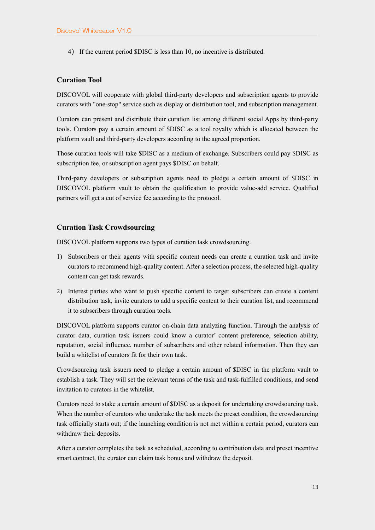4) If the current period \$DISC is less than 10, no incentive is distributed.

## **Curation Tool**

DISCOVOL will cooperate with global third-party developers and subscription agents to provide curators with "one-stop" service such as display or distribution tool, and subscription management.

Curators can present and distribute their curation list among different social Apps by third-party tools. Curators pay a certain amount of \$DISC as a tool royalty which is allocated between the platform vault and third-party developers according to the agreed proportion.

Those curation tools will take \$DISC as a medium of exchange. Subscribers could pay \$DISC as subscription fee, or subscription agent pays \$DISC on behalf.

Third-party developers or subscription agents need to pledge a certain amount of \$DISC in DISCOVOL platform vault to obtain the qualification to provide value-add service. Qualified partners will get a cut of service fee according to the protocol.

#### **Curation Task Crowdsourcing**

DISCOVOL platform supports two types of curation task crowdsourcing.

- 1) Subscribers or their agents with specific content needs can create a curation task and invite curators to recommend high-quality content. After a selection process, the selected high-quality content can get task rewards.
- 2) Interest parties who want to push specific content to target subscribers can create a content distribution task, invite curators to add a specific content to their curation list, and recommend it to subscribers through curation tools.

DISCOVOL platform supports curator on-chain data analyzing function. Through the analysis of curator data, curation task issuers could know a curator' content preference, selection ability, reputation, social influence, number of subscribers and other related information. Then they can build a whitelist of curators fit for their own task.

Crowdsourcing task issuers need to pledge a certain amount of \$DISC in the platform vault to establish a task. They will set the relevant terms of the task and task-fulfilled conditions, and send invitation to curators in the whitelist.

Curators need to stake a certain amount of \$DISC as a deposit for undertaking crowdsourcing task. When the number of curators who undertake the task meets the preset condition, the crowdsourcing task officially starts out; if the launching condition is not met within a certain period, curators can withdraw their deposits.

After a curator completes the task as scheduled, according to contribution data and preset incentive smart contract, the curator can claim task bonus and withdraw the deposit.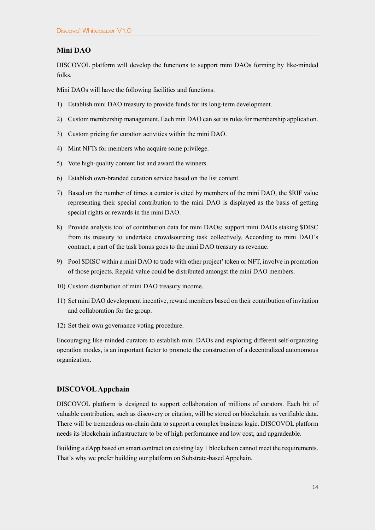## **Mini DAO**

DISCOVOL platform will develop the functions to support mini DAOs forming by like-minded folks.

Mini DAOs will have the following facilities and functions.

- 1) Establish mini DAO treasury to provide funds for its long-term development.
- 2) Custom membership management. Each min DAO can set its rules for membership application.
- 3) Custom pricing for curation activities within the mini DAO.
- 4) Mint NFTs for members who acquire some privilege.
- 5) Vote high-quality content list and award the winners.
- 6) Establish own-branded curation service based on the list content.
- 7) Based on the number of times a curator is cited by members of the mini DAO, the \$RIF value representing their special contribution to the mini DAO is displayed as the basis of getting special rights or rewards in the mini DAO.
- 8) Provide analysis tool of contribution data for mini DAOs; support mini DAOs staking \$DISC from its treasury to undertake crowdsourcing task collectively. According to mini DAO's contract, a part of the task bonus goes to the mini DAO treasury as revenue.
- 9) Pool \$DISC within a mini DAO to trade with other project' token or NFT, involve in promotion of those projects. Repaid value could be distributed amongst the mini DAO members.
- 10) Custom distribution of mini DAO treasury income.
- 11) Set mini DAO development incentive, reward members based on their contribution of invitation and collaboration for the group.
- 12) Set their own governance voting procedure.

Encouraging like-minded curators to establish mini DAOs and exploring different self-organizing operation modes, is an important factor to promote the construction of a decentralized autonomous organization.

## **DISCOVOL Appchain**

DISCOVOL platform is designed to support collaboration of millions of curators. Each bit of valuable contribution, such as discovery or citation, will be stored on blockchain as verifiable data. There will be tremendous on-chain data to support a complex business logic. DISCOVOL platform needs its blockchain infrastructure to be of high performance and low cost, and upgradeable.

Building a dApp based on smart contract on existing lay 1 blockchain cannot meet the requirements. That's why we prefer building our platform on Substrate-based Appchain.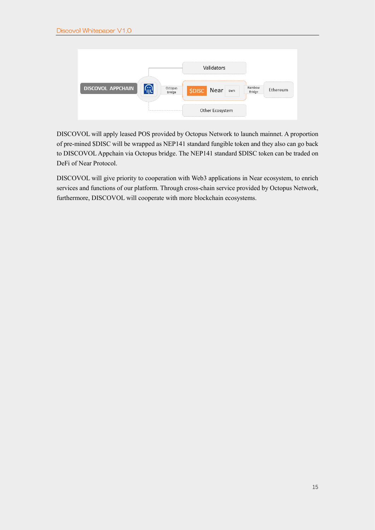

DISCOVOL will apply leased POS provided by Octopus Network to launch mainnet. A proportion of pre-mined \$DISC will be wrapped as NEP141 standard fungible token and they also can go back to DISCOVOL Appchain via Octopus bridge. The NEP141 standard \$DISC token can be traded on DeFi of Near Protocol.

DISCOVOL will give priority to cooperation with Web3 applications in Near ecosystem, to enrich services and functions of our platform. Through cross-chain service provided by Octopus Network, furthermore, DISCOVOL will cooperate with more blockchain ecosystems.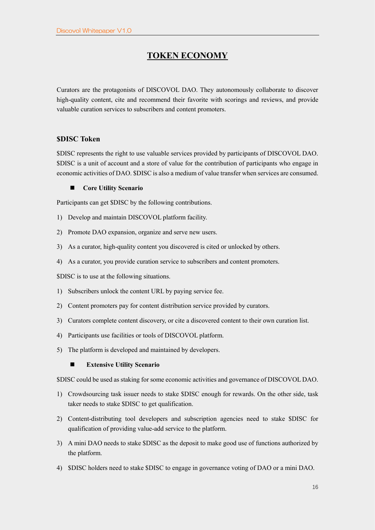# **TOKEN ECONOMY**

Curators are the protagonists of DISCOVOL DAO. They autonomously collaborate to discover high-quality content, cite and recommend their favorite with scorings and reviews, and provide valuable curation services to subscribers and content promoters.

## **\$DISC Token**

\$DISC represents the right to use valuable services provided by participants of DISCOVOL DAO. \$DISC is a unit of account and a store of value for the contribution of participants who engage in economic activities of DAO. \$DISC is also a medium of value transfer when services are consumed.

#### ■ **Core Utility Scenario**

Participants can get \$DISC by the following contributions.

- 1) Develop and maintain DISCOVOL platform facility.
- 2) Promote DAO expansion, organize and serve new users.
- 3) As a curator, high-quality content you discovered is cited or unlocked by others.
- 4) As a curator, you provide curation service to subscribers and content promoters.

\$DISC is to use at the following situations.

- 1) Subscribers unlock the content URL by paying service fee.
- 2) Content promoters pay for content distribution service provided by curators.
- 3) Curators complete content discovery, or cite a discovered content to their own curation list.
- 4) Participants use facilities or tools of DISCOVOL platform.
- 5) The platform is developed and maintained by developers.

◼ **Extensive Utility Scenario**

\$DISC could be used as staking for some economic activities and governance of DISCOVOL DAO.

- 1) Crowdsourcing task issuer needs to stake \$DISC enough for rewards. On the other side, task taker needs to stake \$DISC to get qualification.
- 2) Content-distributing tool developers and subscription agencies need to stake \$DISC for qualification of providing value-add service to the platform.
- 3) A mini DAO needs to stake \$DISC as the deposit to make good use of functions authorized by the platform.
- 4) \$DISC holders need to stake \$DISC to engage in governance voting of DAO or a mini DAO.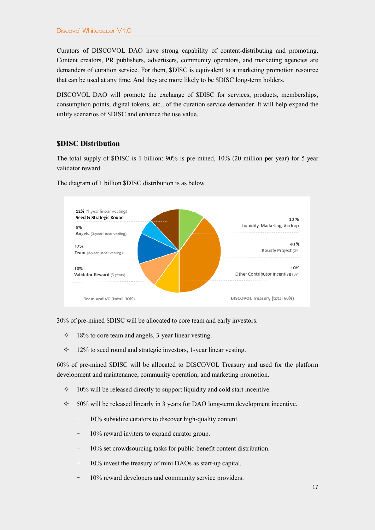Curators of DISCOVOL DAO have strong capability of content-distributing and promoting. Content creators, PR publishers, advertisers, community operators, and marketing agencies are demanders of curation service. For them, \$DISC is equivalent to a marketing promotion resource that can be used at any time. And they are more likely to be \$DISC long-term holders.

DISCOVOL DAO will promote the exchange of \$DISC for services, products, memberships, consumption points, digital tokens, etc., of the curation service demander. It will help expand the utility scenarios of \$DISC and enhance the use value.

#### **\$DISC Distribution**

The total supply of \$DISC is 1 billion: 90% is pre-mined, 10% (20 million per year) for 5-year validator reward.



The diagram of 1 billion \$DISC distribution is as below.

30% of pre-mined \$DISC will be allocated to core team and early investors.

- $\div$  18% to core team and angels, 3-year linear vesting.
- $\div$  12% to seed round and strategic investors, 1-year linear vesting.

60% of pre-mined \$DISC will be allocated to DISCOVOL Treasury and used for the platform development and maintenance, community operation, and marketing promotion.

- $\div$  10% will be released directly to support liquidity and cold start incentive.
- $\div$  50% will be released linearly in 3 years for DAO long-term development incentive.
	- 10% subsidize curators to discover high-quality content.
	- 10% reward inviters to expand curator group.
	- 10% set crowdsourcing tasks for public-benefit content distribution.
	- 10% invest the treasury of mini DAOs as start-up capital.
	- 10% reward developers and community service providers.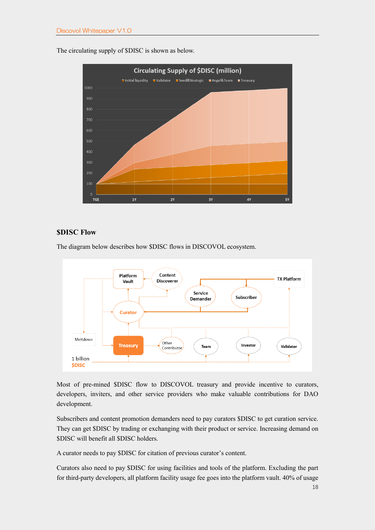The circulating supply of \$DISC is shown as below.



## **\$DISC Flow**

The diagram below describes how \$DISC flows in DISCOVOL ecosystem.



Most of pre-mined \$DISC flow to DISCOVOL treasury and provide incentive to curators, developers, inviters, and other service providers who make valuable contributions for DAO development.

Subscribers and content promotion demanders need to pay curators \$DISC to get curation service. They can get \$DISC by trading or exchanging with their product or service. Increasing demand on \$DISC will benefit all \$DISC holders.

A curator needs to pay \$DISC for citation of previous curator's content.

Curators also need to pay \$DISC for using facilities and tools of the platform. Excluding the part for third-party developers, all platform facility usage fee goes into the platform vault. 40% of usage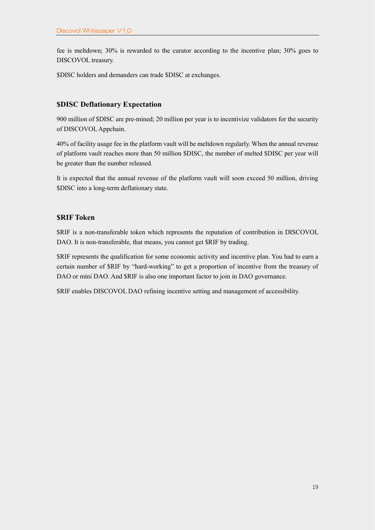fee is meltdown; 30% is rewarded to the curator according to the incentive plan; 30% goes to DISCOVOL treasury.

\$DISC holders and demanders can trade \$DISC at exchanges.

## **\$DISC Deflationary Expectation**

900 million of \$DISC are pre-mined; 20 million per year is to incentivize validators for the security of DISCOVOL Appchain.

40% of facility usage fee in the platform vault will be meltdown regularly. When the annual revenue of platform vault reaches more than 50 million \$DISC, the number of melted \$DISC per year will be greater than the number released.

It is expected that the annual revenue of the platform vault will soon exceed 50 million, driving \$DISC into a long-term deflationary state.

## **\$RIF Token**

\$RIF is a non-transferable token which represents the reputation of contribution in DISCOVOL DAO. It is non-transferable, that means, you cannot get \$RIF by trading.

\$RIF represents the qualification for some economic activity and incentive plan. You had to earn a certain number of \$RIF by "hard-working" to get a proportion of incentive from the treasury of DAO or mini DAO. And \$RIF is also one important factor to join in DAO governance.

\$RIF enables DISCOVOL DAO refining incentive setting and management of accessibility.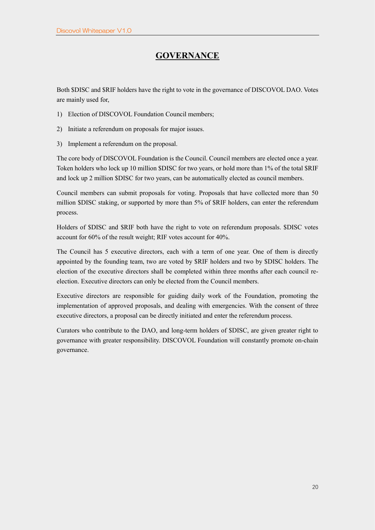## **GOVERNANCE**

Both \$DISC and \$RIF holders have the right to vote in the governance of DISCOVOL DAO. Votes are mainly used for,

- 1) Election of DISCOVOL Foundation Council members;
- 2) Initiate a referendum on proposals for major issues.
- 3) Implement a referendum on the proposal.

The core body of DISCOVOL Foundation is the Council. Council members are elected once a year. Token holders who lock up 10 million \$DISC for two years, or hold more than 1% of the total \$RIF and lock up 2 million \$DISC for two years, can be automatically elected as council members.

Council members can submit proposals for voting. Proposals that have collected more than 50 million \$DISC staking, or supported by more than 5% of \$RIF holders, can enter the referendum process.

Holders of \$DISC and \$RIF both have the right to vote on referendum proposals. \$DISC votes account for 60% of the result weight; RIF votes account for 40%.

The Council has 5 executive directors, each with a term of one year. One of them is directly appointed by the founding team, two are voted by \$RIF holders and two by \$DISC holders. The election of the executive directors shall be completed within three months after each council reelection. Executive directors can only be elected from the Council members.

Executive directors are responsible for guiding daily work of the Foundation, promoting the implementation of approved proposals, and dealing with emergencies. With the consent of three executive directors, a proposal can be directly initiated and enter the referendum process.

Curators who contribute to the DAO, and long-term holders of \$DISC, are given greater right to governance with greater responsibility. DISCOVOL Foundation will constantly promote on-chain governance.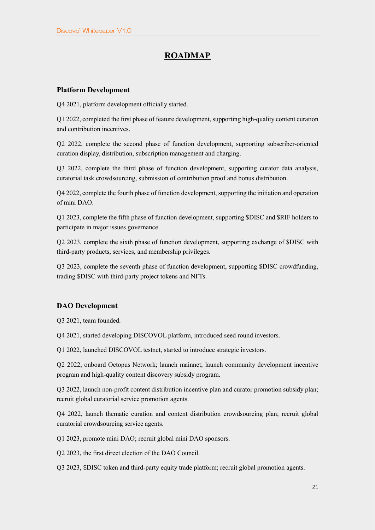# **ROADMAP**

## **Platform Development**

Q4 2021, platform development officially started.

Q1 2022, completed the first phase of feature development, supporting high-quality content curation and contribution incentives.

Q2 2022, complete the second phase of function development, supporting subscriber-oriented curation display, distribution, subscription management and charging.

Q3 2022, complete the third phase of function development, supporting curator data analysis, curatorial task crowdsourcing, submission of contribution proof and bonus distribution.

Q4 2022, complete the fourth phase of function development, supporting the initiation and operation of mini DAO.

Q1 2023, complete the fifth phase of function development, supporting \$DISC and \$RIF holders to participate in major issues governance.

Q2 2023, complete the sixth phase of function development, supporting exchange of \$DISC with third-party products, services, and membership privileges.

Q3 2023, complete the seventh phase of function development, supporting \$DISC crowdfunding, trading \$DISC with third-party project tokens and NFTs.

## **DAO Development**

Q3 2021, team founded.

Q4 2021, started developing DISCOVOL platform, introduced seed round investors.

Q1 2022, launched DISCOVOL testnet, started to introduce strategic investors.

Q2 2022, onboard Octopus Network; launch mainnet; launch community development incentive program and high-quality content discovery subsidy program.

Q3 2022, launch non-profit content distribution incentive plan and curator promotion subsidy plan; recruit global curatorial service promotion agents.

Q4 2022, launch thematic curation and content distribution crowdsourcing plan; recruit global curatorial crowdsourcing service agents.

Q1 2023, promote mini DAO; recruit global mini DAO sponsors.

Q2 2023, the first direct election of the DAO Council.

Q3 2023, \$DISC token and third-party equity trade platform; recruit global promotion agents.